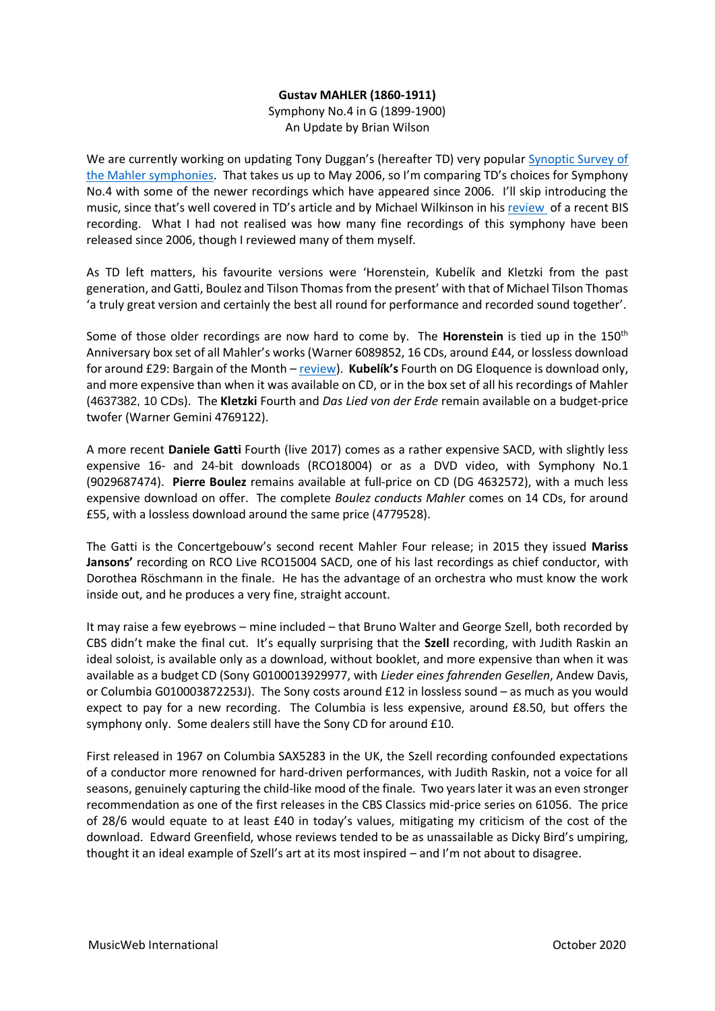## **Gustav MAHLER (1860-1911)**

Symphony No.4 in G (1899-1900) An Update by Brian Wilson

We are currently working on updating Tony Duggan's (hereafter TD) very popular [Synoptic Survey of](http://www.musicweb-international.com/Mahler/index.html)  [the Mahler symphonies.](http://www.musicweb-international.com/Mahler/index.html) That takes us up to May 2006, so I'm comparing TD's choices for Symphony No.4 with some of the newer recordings which have appeared since 2006. I'll skip introducing the music, since that's well covered in TD's article and by Michael Wilkinson in his [review](http://www.musicweb-international.com/classrev/2018/Apr/Spring_2018_2.pdf) of a recent BIS recording. What I had not realised was how many fine recordings of this symphony have been released since 2006, though I reviewed many of them myself.

As TD left matters, his favourite versions were 'Horenstein, Kubelík and Kletzki from the past generation, and Gatti, Boulez and Tilson Thomas from the present' with that of Michael Tilson Thomas 'a truly great version and certainly the best all round for performance and recorded sound together'.

Some of those older recordings are now hard to come by. The **Horenstein** is tied up in the 150th Anniversary box set of all Mahler's works (Warner 6089852, 16 CDs, around £44, or lossless download for around £29: Bargain of the Month – [review\)](http://www.musicweb-international.com/classrev/2010/Aug10/Mahler_complete_6089852.htm). **Kubelík's** Fourth on DG Eloquence is download only, and more expensive than when it was available on CD, or in the box set of all his recordings of Mahler (4637382, 10 CDs). The **Kletzki** Fourth and *Das Lied von der Erde* remain available on a budget-price twofer (Warner Gemini 4769122).

A more recent **Daniele Gatti** Fourth (live 2017) comes as a rather expensive SACD, with slightly less expensive 16- and 24-bit downloads (RCO18004) or as a DVD video, with Symphony No.1 (9029687474). **Pierre Boulez** remains available at full-price on CD (DG 4632572), with a much less expensive download on offer. The complete *Boulez conducts Mahler* comes on 14 CDs, for around £55, with a lossless download around the same price (4779528).

The Gatti is the Concertgebouw's second recent Mahler Four release; in 2015 they issued **Mariss Jansons'** recording on RCO Live RCO15004 SACD, one of his last recordings as chief conductor, with Dorothea Röschmann in the finale. He has the advantage of an orchestra who must know the work inside out, and he produces a very fine, straight account.

It may raise a few eyebrows – mine included – that Bruno Walter and George Szell, both recorded by CBS didn't make the final cut. It's equally surprising that the **Szell** recording, with Judith Raskin an ideal soloist, is available only as a download, without booklet, and more expensive than when it was available as a budget CD (Sony G0100013929977, with *Lieder eines fahrenden Gesellen*, Andew Davis, or Columbia G010003872253J). The Sony costs around £12 in lossless sound – as much as you would expect to pay for a new recording. The Columbia is less expensive, around £8.50, but offers the symphony only. Some dealers still have the Sony CD for around £10.

First released in 1967 on Columbia SAX5283 in the UK, the Szell recording confounded expectations of a conductor more renowned for hard-driven performances, with Judith Raskin, not a voice for all seasons, genuinely capturing the child-like mood of the finale. Two years later it was an even stronger recommendation as one of the first releases in the CBS Classics mid-price series on 61056. The price of 28/6 would equate to at least £40 in today's values, mitigating my criticism of the cost of the download. Edward Greenfield, whose reviews tended to be as unassailable as Dicky Bird's umpiring, thought it an ideal example of Szell's art at its most inspired – and I'm not about to disagree.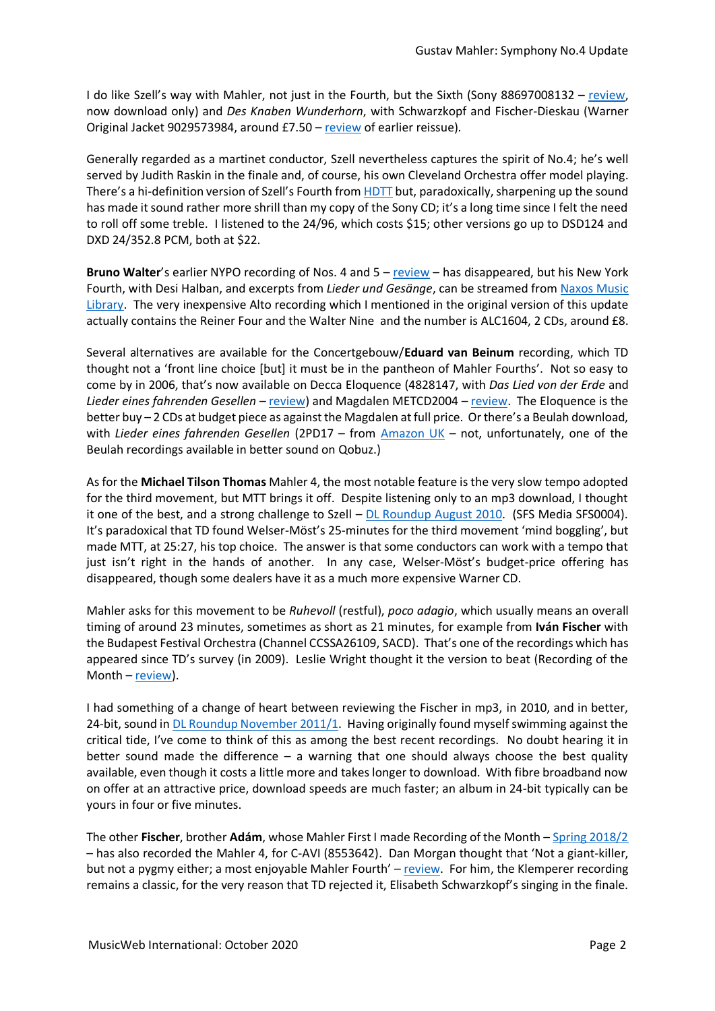I do like Szell's way with Mahler, not just in the Fourth, but the Sixth (Sony 88697008132 – [review,](http://www.musicweb-international.com/classrev/2007/Feb07/Mahler6_Szell_88697008132.htm) now download only) and *Des Knaben Wunderhorn*, with Schwarzkopf and Fischer-Dieskau (Warner Original Jacket 9029573984, around £7.50 – [review](http://www.musicweb-international.com/classrev/2000/apr00/knaben.htm) of earlier reissue).

Generally regarded as a martinet conductor, Szell nevertheless captures the spirit of No.4; he's well served by Judith Raskin in the finale and, of course, his own Cleveland Orchestra offer model playing. There's a hi-definition version of Szell's Fourth from [HDTT](https://www.highdeftapetransfers.com/products/mahler-symphony-no-4-szell-cleveland-orchestra-judith-raskin-soprano?_pos=1005&_sid=4d74330b2&_ss=r) but, paradoxically, sharpening up the sound has made it sound rather more shrill than my copy of the Sony CD; it's a long time since I felt the need to roll off some treble. I listened to the 24/96, which costs \$15; other versions go up to DSD124 and DXD 24/352.8 PCM, both at \$22.

**Bruno Walter**'s earlier NYPO recording of Nos. 4 and 5 – [review](http://www.musicweb-international.com/classrev/2004/may04/Mahler45_Walter.htm) – has disappeared, but his New York Fourth, with Desi Halban, and excerpts from *Lieder und Gesänge*, can be streamed from [Naxos Music](https://www.nml3.naxosmusiclibrary.com/catalogue/item.asp?cid=5099706445029)  [Library.](https://www.nml3.naxosmusiclibrary.com/catalogue/item.asp?cid=5099706445029) The very inexpensive Alto recording which I mentioned in the original version of this update actually contains the Reiner Four and the Walter Nine and the number is ALC1604, 2 CDs, around £8.

Several alternatives are available for the Concertgebouw/**Eduard van Beinum** recording, which TD thought not a 'front line choice [but] it must be in the pantheon of Mahler Fourths'. Not so easy to come by in 2006, that's now available on Decca Eloquence (4828147, with *Das Lied von der Erde* and *Lieder eines fahrenden Gesellen* – [review\)](http://www.musicweb-international.com/classrev/2018/Jul/Mahler_Beinum_4828147.htm) and Magdalen METCD2004 – [review.](http://www.musicweb-international.com/classrev/2011/Sept11/Mahler4_Beinum_metcd8004.htm) The Eloquence is the better buy – 2 CDs at budget piece as against the Magdalen at full price. Or there's a Beulah download, with *Lieder eines fahrenden Gesellen* (2PD17 – from [Amazon UK](https://www.amazon.co.uk/Beinum-Conducts-Philharmonic-Orchestra-Concertgebouw/dp/B00PEV7SQE/ref=sr_1_2?dchild=1&keywords=van+beinum+beulah&qid=1597103229&sr=8-2) – not, unfortunately, one of the Beulah recordings available in better sound on Qobuz.)

As for the **Michael Tilson Thomas** Mahler 4, the most notable feature is the very slow tempo adopted for the third movement, but MTT brings it off. Despite listening only to an mp3 download, I thought it one of the best, and a strong challenge to Szell  $-$  [DL Roundup August 2010.](http://www.musicweb-international.com/classrev/2010/Aug10/Aug10_Download_Roundup.htm) (SFS Media SFS0004). It's paradoxical that TD found Welser-Möst's 25-minutes for the third movement 'mind boggling', but made MTT, at 25:27, his top choice. The answer is that some conductors can work with a tempo that just isn't right in the hands of another. In any case, Welser-Möst's budget-price offering has disappeared, though some dealers have it as a much more expensive Warner CD.

Mahler asks for this movement to be *Ruhevoll* (restful), *poco adagio*, which usually means an overall timing of around 23 minutes, sometimes as short as 21 minutes, for example from **Iván Fischer** with the Budapest Festival Orchestra (Channel CCSSA26109, SACD). That's one of the recordings which has appeared since TD's survey (in 2009). Leslie Wright thought it the version to beat (Recording of the Month –  $review$ ).

I had something of a change of heart between reviewing the Fischer in mp3, in 2010, and in better, 24-bit, sound in [DL Roundup November 2011/1.](http://www.musicweb-international.com/classrev/2011/Nov11/DL_roundup_Nov11_1.htm) Having originally found myself swimming against the critical tide, I've come to think of this as among the best recent recordings. No doubt hearing it in better sound made the difference – a warning that one should always choose the best quality available, even though it costs a little more and takes longer to download. With fibre broadband now on offer at an attractive price, download speeds are much faster; an album in 24-bit typically can be yours in four or five minutes.

The other **Fischer**, brother **Adám**, whose Mahler First I made Recording of the Month – [Spring 2018/2](http://www.musicweb-international.com/classrev/2018/Apr/Spring_2018_2.pdf) – has also recorded the Mahler 4, for C-AVI (8553642). Dan Morgan thought that 'Not a giant-killer, but not a pygmy either; a most enjoyable Mahler Fourth' – [review.](http://www.musicweb-international.com/classrev/2017/Sep/Mahler_sy4_8553642.htm) For him, the Klemperer recording remains a classic, for the very reason that TD rejected it, Elisabeth Schwarzkopf's singing in the finale.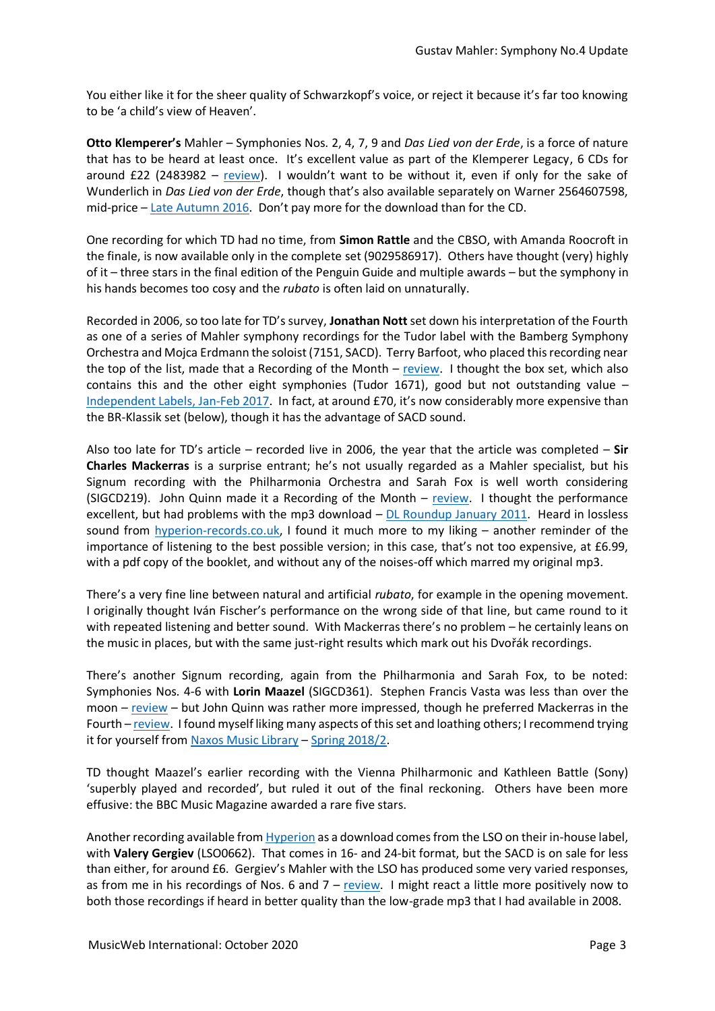You either like it for the sheer quality of Schwarzkopf's voice, or reject it because it's far too knowing to be 'a child's view of Heaven'.

**Otto Klemperer's** Mahler – Symphonies Nos. 2, 4, 7, 9 and *Das Lied von der Erde*, is a force of nature that has to be heard at least once. It's excellent value as part of the Klemperer Legacy, 6 CDs for around £22 (2483982 – [review\)](http://www.musicweb-international.com/classrev/2013/July13/Mahler_sys_2483982.htm). I wouldn't want to be without it, even if only for the sake of Wunderlich in *Das Lied von der Erde*, though that's also available separately on Warner 2564607598, mid-price – [Late Autumn 2016.](http://www.musicweb-international.com/classrev/2016/Dec/Retrospective_late_autumn16.htm) Don't pay more for the download than for the CD.

One recording for which TD had no time, from **Simon Rattle** and the CBSO, with Amanda Roocroft in the finale, is now available only in the complete set (9029586917). Others have thought (very) highly of it – three stars in the final edition of the Penguin Guide and multiple awards – but the symphony in his hands becomes too cosy and the *rubato* is often laid on unnaturally.

Recorded in 2006, so too late for TD's survey, **Jonathan Nott** set down his interpretation of the Fourth as one of a series of Mahler symphony recordings for the Tudor label with the Bamberg Symphony Orchestra and Mojca Erdmann the soloist (7151, SACD). Terry Barfoot, who placed this recording near the top of the list, made that a Recording of the Month  $-$  [review.](http://www.musicweb-international.com/classrev/2009/Jan09/Mahler4_tudor7151.htm) I thought the box set, which also contains this and the other eight symphonies (Tudor 1671), good but not outstanding value – [Independent Labels, Jan-Feb 2017.](http://www.musicweb-international.com/classrev/2017/Feb/Independents_Jan_Feb-2017_2.htm) In fact, at around £70, it's now considerably more expensive than the BR-Klassik set (below), though it has the advantage of SACD sound.

Also too late for TD's article – recorded live in 2006, the year that the article was completed – **Sir Charles Mackerras** is a surprise entrant; he's not usually regarded as a Mahler specialist, but his Signum recording with the Philharmonia Orchestra and Sarah Fox is well worth considering (SIGCD219). John Quinn made it a Recording of the Month – [review.](http://www.musicweb-international.com/classrev/2011/Feb11/Mahler4_SIGCD219.htm) I thought the performance excellent, but had problems with the mp3 download – [DL Roundup January 2011.](http://www.musicweb-international.com/classrev/2011/Jan11/Jan11_Download_Roundup.htm) Heard in lossless sound from [hyperion-records.co.uk,](https://www.hyperion-records.co.uk/dc.asp?dc=D_SIGCD219) I found it much more to my liking – another reminder of the importance of listening to the best possible version; in this case, that's not too expensive, at £6.99, with a pdf copy of the booklet, and without any of the noises-off which marred my original mp3.

There's a very fine line between natural and artificial *rubato*, for example in the opening movement. I originally thought Iván Fischer's performance on the wrong side of that line, but came round to it with repeated listening and better sound. With Mackerras there's no problem – he certainly leans on the music in places, but with the same just-right results which mark out his Dvořák recordings.

There's another Signum recording, again from the Philharmonia and Sarah Fox, to be noted: Symphonies Nos. 4-6 with **Lorin Maazel** (SIGCD361). Stephen Francis Vasta was less than over the moon – [review](http://www.musicweb-international.com/classrev/2015/Aug/Mahler_sys456_SIGCD361.htm) – but John Quinn was rather more impressed, though he preferred Mackerras in the Fourth – [review.](http://www.musicweb-international.com/classrev/2014/May14/Mahler_sys456_SIGCD361.htm) I found myself liking many aspects of this set and loathing others; I recommend trying it for yourself from [Naxos Music Library](https://www.naxosmusiclibrary.com/catalogue/item.asp?cid=SIGCD361) – [Spring 2018/2.](http://www.musicweb-international.com/classrev/2018/Apr/Spring_2018_2.pdf)

TD thought Maazel's earlier recording with the Vienna Philharmonic and Kathleen Battle (Sony) 'superbly played and recorded', but ruled it out of the final reckoning. Others have been more effusive: the BBC Music Magazine awarded a rare five stars.

Another recording available fro[m Hyperion](https://www.hyperion-records.co.uk/dc.asp?dc=D_LSO0662) as a download comes from the LSO on their in-house label, with **Valery Gergiev** (LSO0662). That comes in 16- and 24-bit format, but the SACD is on sale for less than either, for around £6. Gergiev's Mahler with the LSO has produced some very varied responses, as from me in his recordings of Nos. 6 and 7 – [review.](http://www.musicweb-international.com/classrev/2008/Oct08/mahler_67_lso06615.htm) I might react a little more positively now to both those recordings if heard in better quality than the low-grade mp3 that I had available in 2008.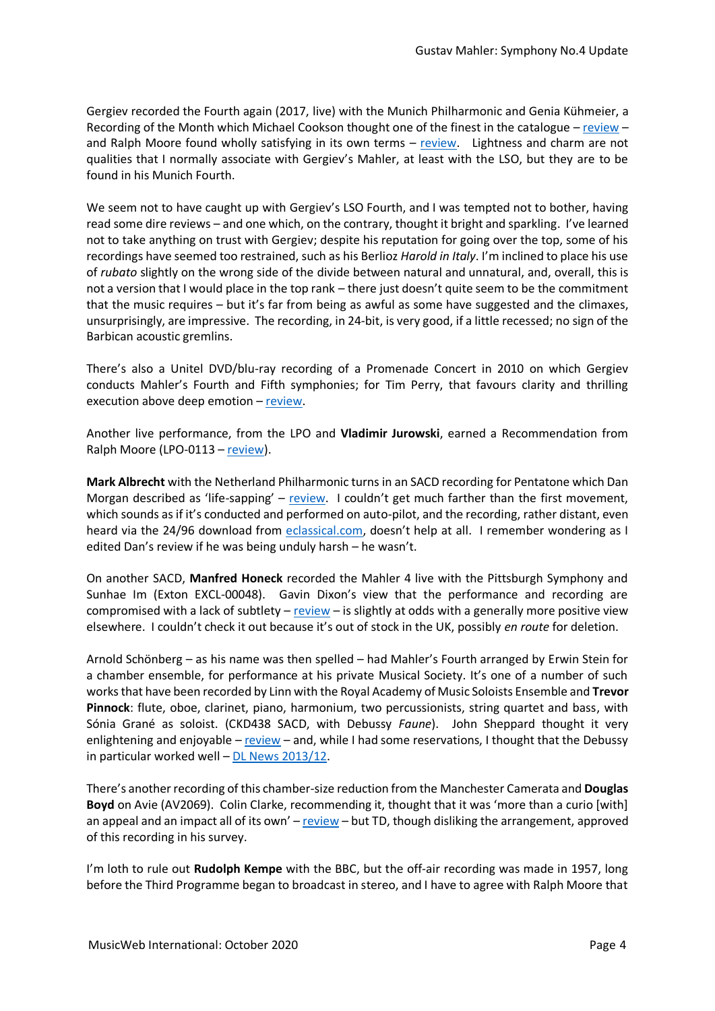Gergiev recorded the Fourth again (2017, live) with the Munich Philharmonic and Genia Kühmeier, a Recording of the Month which Michael Cookson thought one of the finest in the catalogue – [review](http://musicweb-international.com/classrev/2017/Nov/Mahler_sy4_MPHL0005.htm) – and Ralph Moore found wholly satisfying in its own terms  $-$  [review.](http://musicweb-international.com/classrev/2017/Dec/Mahler_sy4_MPHL0005.htm) Lightness and charm are not qualities that I normally associate with Gergiev's Mahler, at least with the LSO, but they are to be found in his Munich Fourth.

We seem not to have caught up with Gergiev's LSO Fourth, and I was tempted not to bother, having read some dire reviews – and one which, on the contrary, thought it bright and sparkling. I've learned not to take anything on trust with Gergiev; despite his reputation for going over the top, some of his recordings have seemed too restrained, such as his Berlioz *Harold in Italy*. I'm inclined to place his use of *rubato* slightly on the wrong side of the divide between natural and unnatural, and, overall, this is not a version that I would place in the top rank – there just doesn't quite seem to be the commitment that the music requires – but it's far from being as awful as some have suggested and the climaxes, unsurprisingly, are impressive. The recording, in 24-bit, is very good, if a little recessed; no sign of the Barbican acoustic gremlins.

There's also a Unitel DVD/blu-ray recording of a Promenade Concert in 2010 on which Gergiev conducts Mahler's Fourth and Fifth symphonies; for Tim Perry, that favours clarity and thrilling execution above deep emotion - [review.](http://www.musicweb-international.com/classrev/2011/Oct11/Mahler_Symphonies_WOP_702608.htm)

Another live performance, from the LPO and **Vladimir Jurowski**, earned a Recommendation from Ralph Moore (LPO-0113 – [review\)](http://www.musicweb-international.com/classrev/2019/Aug/Mahler_sy4_LPO0113.htm).

**Mark Albrecht** with the Netherland Philharmonic turns in an SACD recording for Pentatone which Dan Morgan described as 'life-sapping' – [review](http://www.musicweb-international.com/classrev/2015/May/Mahler_sy4_PTC5186487.htm). I couldn't get much farther than the first movement, which sounds as if it's conducted and performed on auto-pilot, and the recording, rather distant, even heard via the 24/96 download from [eclassical.com](https://www.eclassical.com/labels/pentatone/mahler-symphony-no-4-in-g-major.html), doesn't help at all. I remember wondering as I edited Dan's review if he was being unduly harsh – he wasn't.

On another SACD, **Manfred Honeck** recorded the Mahler 4 live with the Pittsburgh Symphony and Sunhae Im (Exton EXCL-00048). Gavin Dixon's view that the performance and recording are compromised with a lack of subtlety – [review](http://www.musicweb-international.com/classrev/2011/Mar11/Mahler4_EXCL00048.htm) – is slightly at odds with a generally more positive view elsewhere. I couldn't check it out because it's out of stock in the UK, possibly *en route* for deletion.

Arnold Schönberg – as his name was then spelled – had Mahler's Fourth arranged by Erwin Stein for a chamber ensemble, for performance at his private Musical Society. It's one of a number of such works that have been recorded by Linn with the Royal Academy of Music Soloists Ensemble and **Trevor Pinnock**: flute, oboe, clarinet, piano, harmonium, two percussionists, string quartet and bass, with Sónia Grané as soloist. (CKD438 SACD, with Debussy *Faune*). John Sheppard thought it very enlightening and enjoyable – [review](http://www.musicweb-international.com/classrev/2013/Sept13/Mahler_sy4_CKD438.htm) – and, while I had some reservations, I thought that the Debussy in particular worked well – DL News [2013/12.](http://www.musicweb-international.com/classrev/2013/Sept13/DL_News_2013_12.htm)

There's another recording of this chamber-size reduction from the Manchester Camerata and **Douglas Boyd** on Avie (AV2069). Colin Clarke, recommending it, thought that it was 'more than a curio [with] an appeal and an impact all of its own' – [review](http://www.musicweb-international.com/classrev/2005/June05/Mahler4_boyd_AV2669.htm) – but TD, though disliking the arrangement, approved of this recording in his survey.

I'm loth to rule out **Rudolph Kempe** with the BBC, but the off-air recording was made in 1957, long before the Third Programme began to broadcast in stereo, and I have to agree with Ralph Moore that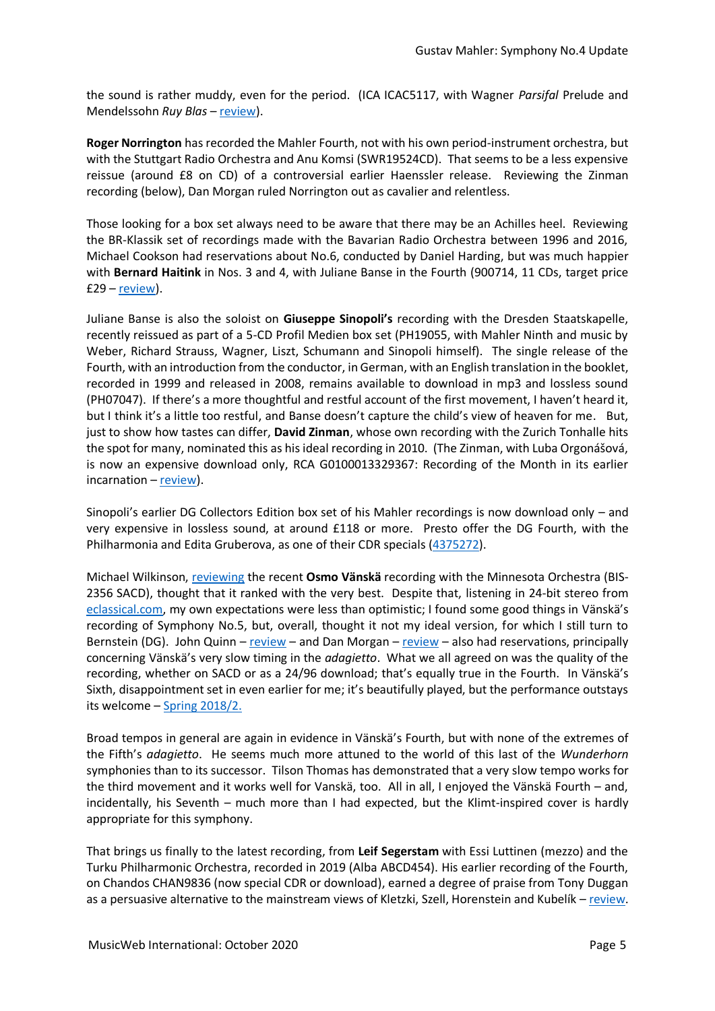the sound is rather muddy, even for the period. (ICA ICAC5117, with Wagner *Parsifal* Prelude and Mendelssohn *Ruy Blas* – [review\)](http://www.musicweb-international.com/classrev/2014/Jan14/Mahler_sy4_ICAC5117.htm).

**Roger Norrington** has recorded the Mahler Fourth, not with his own period-instrument orchestra, but with the Stuttgart Radio Orchestra and Anu Komsi (SWR19524CD). That seems to be a less expensive reissue (around £8 on CD) of a controversial earlier Haenssler release. Reviewing the Zinman recording (below), Dan Morgan ruled Norrington out as cavalier and relentless.

Those looking for a box set always need to be aware that there may be an Achilles heel. Reviewing the BR-Klassik set of recordings made with the Bavarian Radio Orchestra between 1996 and 2016, Michael Cookson had reservations about No.6, conducted by Daniel Harding, but was much happier with **Bernard Haitink** in Nos. 3 and 4, with Juliane Banse in the Fourth (900714, 11 CDs, target price £29 – [review\)](http://www.musicweb-international.com/classrev/2018/Apr/Mahler_sys_900714.htm).

Juliane Banse is also the soloist on **Giuseppe Sinopoli's** recording with the Dresden Staatskapelle, recently reissued as part of a 5-CD Profil Medien box set (PH19055, with Mahler Ninth and music by Weber, Richard Strauss, Wagner, Liszt, Schumann and Sinopoli himself). The single release of the Fourth, with an introduction from the conductor, in German, with an English translation in the booklet, recorded in 1999 and released in 2008, remains available to download in mp3 and lossless sound (PH07047). If there's a more thoughtful and restful account of the first movement, I haven't heard it, but I think it's a little too restful, and Banse doesn't capture the child's view of heaven for me. But, just to show how tastes can differ, **David Zinman**, whose own recording with the Zurich Tonhalle hits the spot for many, nominated this as his ideal recording in 2010. (The Zinman, with Luba Orgonášová, is now an expensive download only, RCA G0100013329367: Recording of the Month in its earlier  $incaration - *review*$ .

Sinopoli's earlier DG Collectors Edition box set of his Mahler recordings is now download only – and very expensive in lossless sound, at around £118 or more. Presto offer the DG Fourth, with the Philharmonia and Edita Gruberova, as one of their CDR specials [\(4375272\)](https://www.prestomusic.com/classical/products/8082263--mahler-symphony-no-4).

Michael Wilkinson[, reviewing](http://www.musicweb-international.com/classrev/2020/Feb/Mahler_sy4_BIS2356.htm) the recent **Osmo Vänskä** recording with the Minnesota Orchestra (BIS-2356 SACD), thought that it ranked with the very best. Despite that, listening in 24-bit stereo from [eclassical.com,](https://www.eclassical.com/conductors/vanska-osmo/mahler-symphony-no4.html) my own expectations were less than optimistic; I found some good things in Vänskä's recording of Symphony No.5, but, overall, thought it not my ideal version, for which I still turn to Bernstein (DG). John Quinn – [review](http://www.musicweb-international.com/classrev/2017/Oct/Mahler_sy5_BIS2226.htm) – and Dan Morgan – [review](http://www.musicweb-international.com/classrev/2017/Aug/Mahler_sy5_900150.htm) – also had reservations, principally concerning Vänskä's very slow timing in the *adagietto*. What we all agreed on was the quality of the recording, whether on SACD or as a 24/96 download; that's equally true in the Fourth. In Vänskä's Sixth, disappointment set in even earlier for me; it's beautifully played, but the performance outstays its welcome – [Spring 2018/2.](http://www.musicweb-international.com/classrev/2018/Apr/Spring_2018_2.pdf)

Broad tempos in general are again in evidence in Vänskä's Fourth, but with none of the extremes of the Fifth's *adagietto*. He seems much more attuned to the world of this last of the *Wunderhorn* symphonies than to its successor. Tilson Thomas has demonstrated that a very slow tempo works for the third movement and it works well for Vanskä, too. All in all, I enjoyed the Vänskä Fourth – and, incidentally, his Seventh – much more than I had expected, but the Klimt-inspired cover is hardly appropriate for this symphony.

That brings us finally to the latest recording, from **Leif Segerstam** with Essi Luttinen (mezzo) and the Turku Philharmonic Orchestra, recorded in 2019 (Alba ABCD454). His earlier recording of the Fourth, on Chandos CHAN9836 (now special CDR or download), earned a degree of praise from Tony Duggan as a persuasive alternative to the mainstream views of Kletzki, Szell, Horenstein and Kubelík – [review.](http://www.musicweb-international.com/classrev/2000/nov00/Mahler4Segerstam.htm)